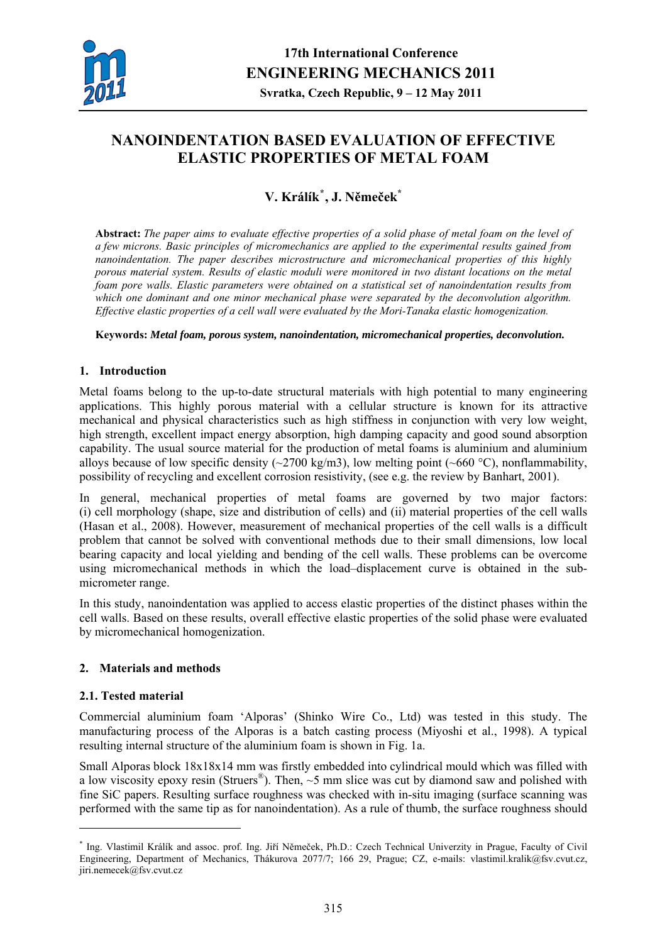

# **NANOINDENTATION BASED EVALUATION OF EFFECTIVE ELASTIC PROPERTIES OF METAL FOAM**

## **V. Králík[\\*](#page-0-0) , J. Němeček\***

**Abstract:** *The paper aims to evaluate effective properties of a solid phase of metal foam on the level of a few microns. Basic principles of micromechanics are applied to the experimental results gained from nanoindentation. The paper describes microstructure and micromechanical properties of this highly porous material system. Results of elastic moduli were monitored in two distant locations on the metal foam pore walls. Elastic parameters were obtained on a statistical set of nanoindentation results from which one dominant and one minor mechanical phase were separated by the deconvolution algorithm. Effective elastic properties of a cell wall were evaluated by the Mori-Tanaka elastic homogenization.* 

#### **Keywords:** *Metal foam, porous system, nanoindentation, micromechanical properties, deconvolution.*

## **1. Introduction**

Metal foams belong to the up-to-date structural materials with high potential to many engineering applications. This highly porous material with a cellular structure is known for its attractive mechanical and physical characteristics such as high stiffness in conjunction with very low weight, high strength, excellent impact energy absorption, high damping capacity and good sound absorption capability. The usual source material for the production of metal foams is aluminium and aluminium alloys because of low specific density ( $\sim$ 2700 kg/m3), low melting point ( $\sim$ 660 °C), nonflammability, possibility of recycling and excellent corrosion resistivity, (see e.g. the review by Banhart, 2001).

In general, mechanical properties of metal foams are governed by two major factors: (i) cell morphology (shape, size and distribution of cells) and (ii) material properties of the cell walls (Hasan et al., 2008). However, measurement of mechanical properties of the cell walls is a difficult problem that cannot be solved with conventional methods due to their small dimensions, low local bearing capacity and local yielding and bending of the cell walls. These problems can be overcome using micromechanical methods in which the load–displacement curve is obtained in the submicrometer range.

In this study, nanoindentation was applied to access elastic properties of the distinct phases within the cell walls. Based on these results, overall effective elastic properties of the solid phase were evaluated by micromechanical homogenization.

## **2. Materials and methods**

## **2.1. Tested material**

1

Commercial aluminium foam 'Alporas' (Shinko Wire Co., Ltd) was tested in this study. The manufacturing process of the Alporas is a batch casting process (Miyoshi et al., 1998). A typical resulting internal structure of the aluminium foam is shown in Fig. 1a.

Small Alporas block  $18x18x14$  mm was firstly embedded into cylindrical mould which was filled with a low viscosity epoxy resin (Struers<sup>®</sup>). Then,  $\sim$ 5 mm slice was cut by diamond saw and polished with fine SiC papers. Resulting surface roughness was checked with in-situ imaging (surface scanning was performed with the same tip as for nanoindentation). As a rule of thumb, the surface roughness should

<span id="page-0-0"></span><sup>\*</sup> Ing. Vlastimil Králík and assoc. prof. Ing. Jiří Němeček, Ph.D.: Czech Technical Univerzity in Prague, Faculty of Civil Engineering, Department of Mechanics, Thákurova 2077/7; 166 29, Prague; CZ, e-mails: vlastimil.kralik@fsv.cvut.cz, jiri.nemecek@fsv.cvut.cz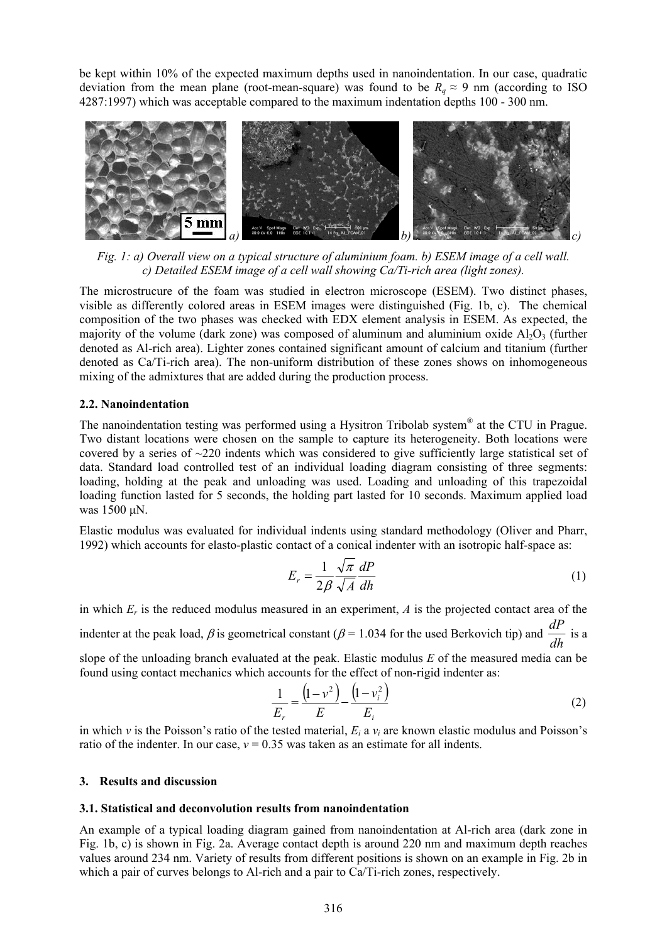be kept within 10% of the expected maximum depths used in nanoindentation. In our case, quadratic deviation from the mean plane (root-mean-square) was found to be  $R_q \approx 9$  nm (according to ISO 4287:1997) which was acceptable compared to the maximum indentation depths 100 - 300 nm.



*Fig. 1: a) Overall view on a typical structure of aluminium foam. b) ESEM image of a cell wall. c) Detailed ESEM image of a cell wall showing Ca/Ti-rich area (light zones).* 

The microstrucure of the foam was studied in electron microscope (ESEM). Two distinct phases, visible as differently colored areas in ESEM images were distinguished (Fig. 1b, c). The chemical composition of the two phases was checked with EDX element analysis in ESEM. As expected, the majority of the volume (dark zone) was composed of aluminum and aluminium oxide  $A_1O_3$  (further denoted as Al-rich area). Lighter zones contained significant amount of calcium and titanium (further denoted as Ca/Ti-rich area). The non-uniform distribution of these zones shows on inhomogeneous mixing of the admixtures that are added during the production process.

#### **2.2. Nanoindentation**

The nanoindentation testing was performed using a Hysitron Tribolab system® at the CTU in Prague. Two distant locations were chosen on the sample to capture its heterogeneity. Both locations were covered by a series of ~220 indents which was considered to give sufficiently large statistical set of data. Standard load controlled test of an individual loading diagram consisting of three segments: loading, holding at the peak and unloading was used. Loading and unloading of this trapezoidal loading function lasted for 5 seconds, the holding part lasted for 10 seconds. Maximum applied load was 1500 μN.

Elastic modulus was evaluated for individual indents using standard methodology (Oliver and Pharr, 1992) which accounts for elasto-plastic contact of a conical indenter with an isotropic half-space as:

$$
E_r = \frac{1}{2\beta} \frac{\sqrt{\pi}}{\sqrt{A}} \frac{dP}{dh}
$$
 (1)

in which  $E_r$  is the reduced modulus measured in an experiment,  $\Lambda$  is the projected contact area of the indenter at the peak load,  $\beta$  is geometrical constant ( $\beta$  = 1.034 for the used Berkovich tip) and  $\frac{d\mathbf{r}}{dh}$  $\frac{dP}{dt}$  is a

slope of the unloading branch evaluated at the peak. Elastic modulus *E* of the measured media can be found using contact mechanics which accounts for the effect of non-rigid indenter as:

$$
\frac{1}{E_r} = \frac{\left(1 - v^2\right)}{E} - \frac{\left(1 - v_i^2\right)}{E_i} \tag{2}
$$

in which *ν* is the Poisson's ratio of the tested material, *Ei* a *νi* are known elastic modulus and Poisson's ratio of the indenter. In our case,  $v = 0.35$  was taken as an estimate for all indents.

#### **3. Results and discussion**

## **3.1. Statistical and deconvolution results from nanoindentation**

An example of a typical loading diagram gained from nanoindentation at Al-rich area (dark zone in Fig. 1b, c) is shown in Fig. 2a. Average contact depth is around 220 nm and maximum depth reaches values around 234 nm. Variety of results from different positions is shown on an example in Fig. 2b in which a pair of curves belongs to Al-rich and a pair to Ca/Ti-rich zones, respectively.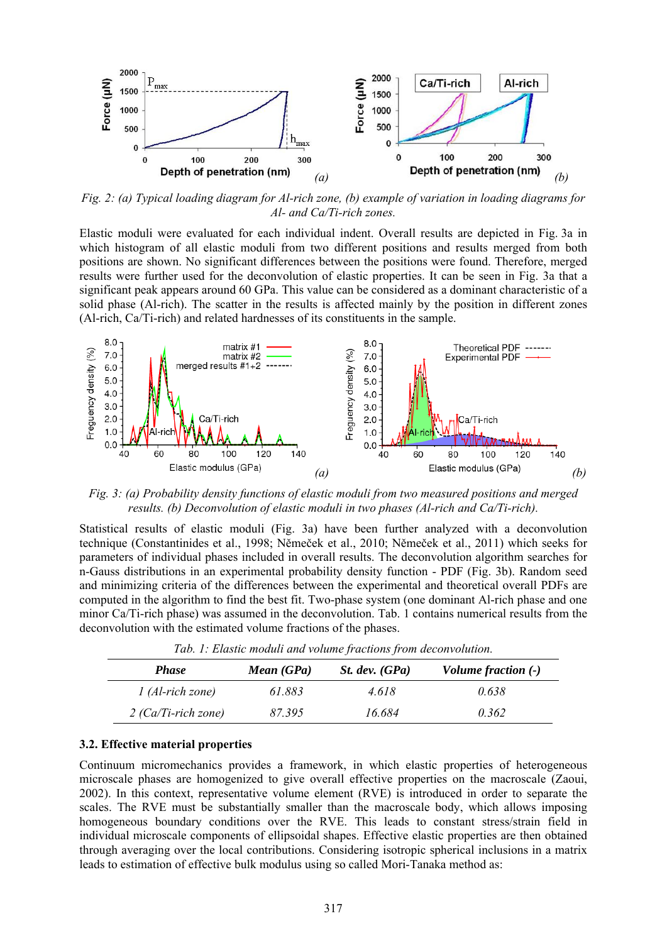

*Fig. 2: (a) Typical loading diagram for Al-rich zone, (b) example of variation in loading diagrams for Al- and Ca/Ti-rich zones.* 

Elastic moduli were evaluated for each individual indent. Overall results are depicted in Fig. 3a in which histogram of all elastic moduli from two different positions and results merged from both positions are shown. No significant differences between the positions were found. Therefore, merged results were further used for the deconvolution of elastic properties. It can be seen in Fig. 3a that a significant peak appears around 60 GPa. This value can be considered as a dominant characteristic of a solid phase (Al-rich). The scatter in the results is affected mainly by the position in different zones (Al-rich, Ca/Ti-rich) and related hardnesses of its constituents in the sample.



*Fig. 3: (a) Probability density functions of elastic moduli from two measured positions and merged results. (b) Deconvolution of elastic moduli in two phases (Al-rich and Ca/Ti-rich).* 

Statistical results of elastic moduli (Fig. 3a) have been further analyzed with a deconvolution technique (Constantinides et al., 1998; Němeček et al., 2010; Němeček et al., 2011) which seeks for parameters of individual phases included in overall results. The deconvolution algorithm searches for n-Gauss distributions in an experimental probability density function - PDF (Fig. 3b). Random seed and minimizing criteria of the differences between the experimental and theoretical overall PDFs are computed in the algorithm to find the best fit. Two-phase system (one dominant Al-rich phase and one minor Ca/Ti-rich phase) was assumed in the deconvolution. Tab. 1 contains numerical results from the deconvolution with the estimated volume fractions of the phases.

| <b>Phase</b>          | Mean (GPa) | St. dev. $(GPa)$ | Volume fraction (-) |
|-----------------------|------------|------------------|---------------------|
| $1$ (Al-rich zone)    | 61.883     | 4.618            | 0.638               |
| $2$ (Ca/Ti-rich zone) | 87.395     | 16.684           | 0.362               |

*Tab. 1: Elastic moduli and volume fractions from deconvolution.* 

#### **3.2. Effective material properties**

Continuum micromechanics provides a framework, in which elastic properties of heterogeneous microscale phases are homogenized to give overall effective properties on the macroscale (Zaoui, 2002). In this context, representative volume element (RVE) is introduced in order to separate the scales. The RVE must be substantially smaller than the macroscale body, which allows imposing homogeneous boundary conditions over the RVE. This leads to constant stress/strain field in individual microscale components of ellipsoidal shapes. Effective elastic properties are then obtained through averaging over the local contributions. Considering isotropic spherical inclusions in a matrix leads to estimation of effective bulk modulus using so called Mori-Tanaka method as: